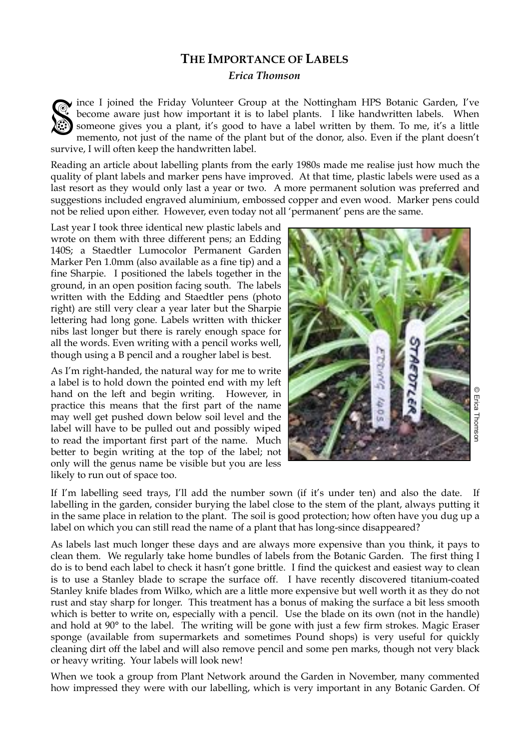## **THE IMPORTANCE OF LABELS**

*Erica Thomson*

ince I joined the Friday Volunteer Group at the Nottingham HPS Botanic Garden, I've become aware just how important it is to label plants. I like handwritten labels. When someone gives you a plant, it's good to have a labe become aware just how important it is to label plants. I like handwritten labels. When someone gives you a plant, it's good to have a label written by them. To me, it's a little memento, not just of the name of the plant but of the donor, also. Even if the plant doesn't survive, I will often keep the handwritten label.

Reading an article about labelling plants from the early 1980s made me realise just how much the quality of plant labels and marker pens have improved. At that time, plastic labels were used as a last resort as they would only last a year or two. A more permanent solution was preferred and suggestions included engraved aluminium, embossed copper and even wood. Marker pens could not be relied upon either. However, even today not all 'permanent' pens are the same.

Last year I took three identical new plastic labels and wrote on them with three different pens; an Edding 140S; a Staedtler Lumocolor Permanent Garden Marker Pen 1.0mm (also available as a fine tip) and a fine Sharpie. I positioned the labels together in the ground, in an open position facing south. The labels written with the Edding and Staedtler pens (photo right) are still very clear a year later but the Sharpie lettering had long gone. Labels written with thicker nibs last longer but there is rarely enough space for all the words. Even writing with a pencil works well, though using a B pencil and a rougher label is best.

As I'm right-handed, the natural way for me to write a label is to hold down the pointed end with my left hand on the left and begin writing. However, in practice this means that the first part of the name may well get pushed down below soil level and the label will have to be pulled out and possibly wiped to read the important first part of the name. Much better to begin writing at the top of the label; not only will the genus name be visible but you are less likely to run out of space too.



© Erica ThomsonErica Thomsor

If I'm labelling seed trays, I'll add the number sown (if it's under ten) and also the date. If labelling in the garden, consider burying the label close to the stem of the plant, always putting it in the same place in relation to the plant. The soil is good protection; how often have you dug up a label on which you can still read the name of a plant that has long-since disappeared?

As labels last much longer these days and are always more expensive than you think, it pays to clean them. We regularly take home bundles of labels from the Botanic Garden. The first thing I do is to bend each label to check it hasn't gone brittle. I find the quickest and easiest way to clean is to use a Stanley blade to scrape the surface off. I have recently discovered titanium-coated Stanley knife blades from Wilko, which are a little more expensive but well worth it as they do not rust and stay sharp for longer. This treatment has a bonus of making the surface a bit less smooth which is better to write on, especially with a pencil. Use the blade on its own (not in the handle) and hold at 90° to the label. The writing will be gone with just a few firm strokes. Magic Eraser sponge (available from supermarkets and sometimes Pound shops) is very useful for quickly cleaning dirt off the label and will also remove pencil and some pen marks, though not very black or heavy writing. Your labels will look new!

When we took a group from Plant Network around the Garden in November, many commented how impressed they were with our labelling, which is very important in any Botanic Garden. Of